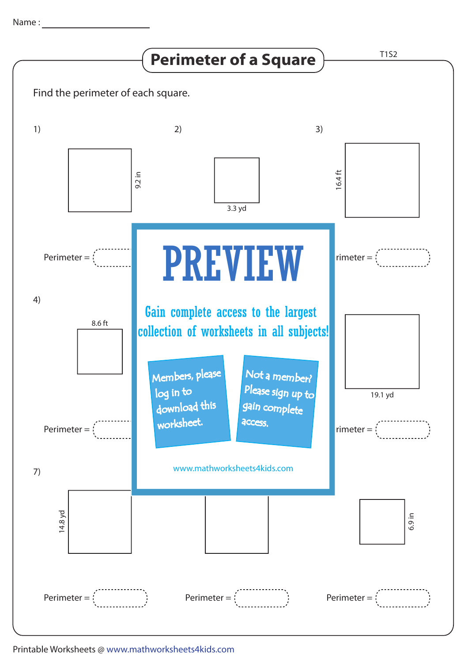